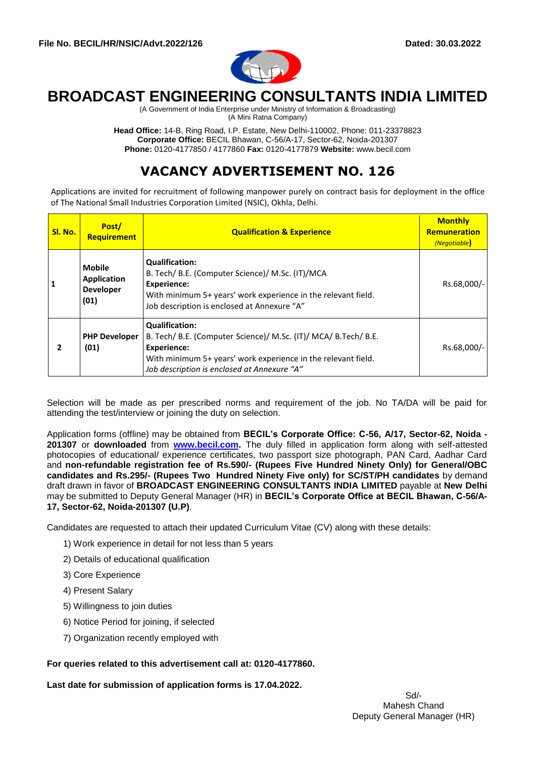

# **BROADCAST ENGINEERING CONSULTANTS INDIA LIMITED**

(A Government of India Enterprise under Ministry of Information & Broadcasting) (A Mini Ratna Company)

**Head Office:** 14-B, Ring Road, I.P. Estate, New Delhi-110002, Phone: 011-23378823 **Corporate Office:** BECIL Bhawan, C-56/A-17, Sector-62, Noida-201307 **Phone:** 0120-4177850 / 4177860 **Fax:** 0120-4177879 **Website:** www.becil.com

## **VACANCY ADVERTISEMENT NO. 126**

Applications are invited for recruitment of following manpower purely on contract basis for deployment in the office of The National Small Industries Corporation Limited (NSIC), Okhla, Delhi.

| Sl. No. | Post/<br><b>Requirement</b>                                     | <b>Qualification &amp; Experience</b>                                                                                                                                                                                          | <b>Monthly</b><br><b>Remuneration</b><br>(Negotiable) |
|---------|-----------------------------------------------------------------|--------------------------------------------------------------------------------------------------------------------------------------------------------------------------------------------------------------------------------|-------------------------------------------------------|
|         | <b>Mobile</b><br><b>Application</b><br><b>Developer</b><br>(01) | <b>Qualification:</b><br>B. Tech/ B.E. (Computer Science)/ M.Sc. (IT)/MCA<br><b>Experience:</b><br>With minimum 5+ years' work experience in the relevant field.<br>Job description is enclosed at Annexure "A"                | Rs.68,000/-                                           |
|         | <b>PHP Developer</b><br>(01)                                    | <b>Qualification:</b><br>B. Tech/ B.E. (Computer Science)/ M.Sc. (IT)/ MCA/ B.Tech/ B.E.<br><b>Experience:</b><br>With minimum 5+ years' work experience in the relevant field.<br>Job description is enclosed at Annexure "A" | Rs.68,000/-                                           |

Selection will be made as per prescribed norms and requirement of the job. No TA/DA will be paid for attending the test/interview or joining the duty on selection.

Application forms (offline) may be obtained from **BECIL's Corporate Office: C-56, A/17, Sector-62, Noida - 201307** or **downloaded** from **[www.becil.com.](http://www.becil.com/)** The duly filled in application form along with self-attested photocopies of educational/ experience certificates, two passport size photograph, PAN Card, Aadhar Card and **non-refundable registration fee of Rs.590/- (Rupees Five Hundred Ninety Only) for General/OBC candidates and Rs.295/- (Rupees Two Hundred Ninety Five only) for SC/ST/PH candidates** by demand draft drawn in favor of **BROADCAST ENGINEERING CONSULTANTS INDIA LIMITED** payable at **New Delhi** may be submitted to Deputy General Manager (HR) in **BECIL's Corporate Office at BECIL Bhawan, C-56/A-17, Sector-62, Noida-201307 (U.P)**.

Candidates are requested to attach their updated Curriculum Vitae (CV) along with these details:

- 1) Work experience in detail for not less than 5 years
- 2) Details of educational qualification
- 3) Core Experience
- 4) Present Salary
- 5) Willingness to join duties
- 6) Notice Period for joining, if selected
- 7) Organization recently employed with

#### **For queries related to this advertisement call at: 0120-4177860.**

**Last date for submission of application forms is 17.04.2022.**